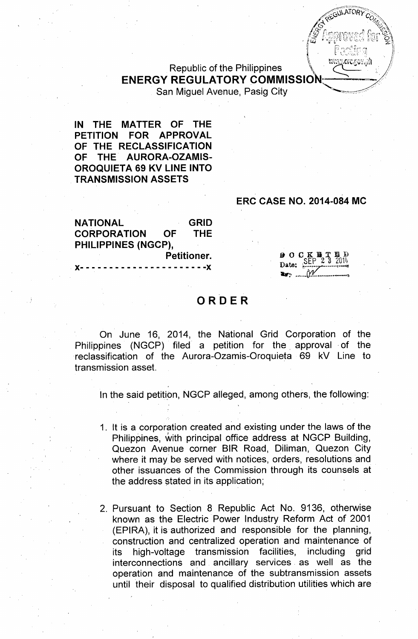# **Republic of the Philippines ENERGY REGULATORY COMMISSION**

San Miguel Avenue, Pasig City

IN THE MATTER OF THE PETITION FOR APPROVAL OF THE RECLASSIFICATION OF THE AURORA-OZAMIS-**OROQUIETA 69 KV LINE INTO TRANSMISSION ASSETS** 

### **ERC CASE NO. 2014-084 MC**

**GULATORY** 

vu<mark>orc.</mark>gov.<sub>i</sub>ah

| <b>NATIONAL</b>                 |           | <b>GRID</b> |
|---------------------------------|-----------|-------------|
| <b>CORPORATION</b>              | <b>OF</b> | <b>THE</b>  |
| PHILIPPINES (NGCP),             |           |             |
| Petitioner.                     |           |             |
| X--------------------- <b>X</b> |           |             |

 $90CK$   $\%$ Date: SEP

# ORDER

On June 16, 2014, the National Grid Corporation of the Philippines (NGCP) filed a petition for the approval of the reclassification of the Aurora-Ozamis-Oroquieta 69 kV Line to transmission asset.

In the said petition, NGCP alleged, among others, the following:

1. It is a corporation created and existing under the laws of the Philippines, with principal office address at NGCP Building, Quezon Avenue corner BIR Road, Diliman, Quezon City where it may be served with notices, orders, resolutions and other issuances of the Commission through its counsels at the address stated in its application;

2. Pursuant to Section 8 Republic Act No. 9136, otherwise known as the Electric Power Industry Reform Act of 2001 (EPIRA), it is authorized and responsible for the planning, construction and centralized operation and maintenance of high-voltage transmission facilities. includina arid its. interconnections and ancillary services as well as the operation and maintenance of the subtransmission assets until their disposal to qualified distribution utilities which are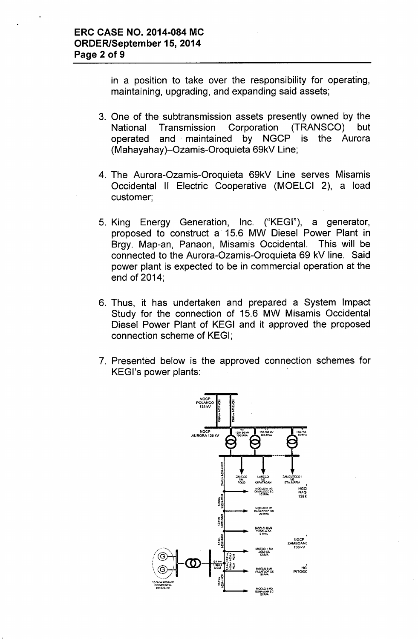in a position to take over the responsibility for operating, maintaining, upgrading, and expanding said assets;

- 3. One of the subtransmission assets presently owned by the Transmission Corporation (TRANSCO) National but operated and maintained by NGCP is the Aurora (Mahayahay)-Ozamis-Oroquieta 69kV Line;
- 4. The Aurora-Ozamis-Oroquieta 69kV Line serves Misamis Occidental II Electric Cooperative (MOELCI 2), a load customer:
- 5. King Energy Generation, Inc. ("KEGI"), a generator, proposed to construct a 15.6 MW Diesel Power Plant in Brgy. Map-an, Panaon, Misamis Occidental. This will be connected to the Aurora-Ozamis-Oroquieta 69 kV line. Said power plant is expected to be in commercial operation at the end of 2014;
- 6. Thus, it has undertaken and prepared a System Impact Study for the connection of 15.6 MW Misamis Occidental Diesel Power Plant of KEGI and it approved the proposed connection scheme of KEGI;
- 7. Presented below is the approved connection schemes for KEGI's power plants:

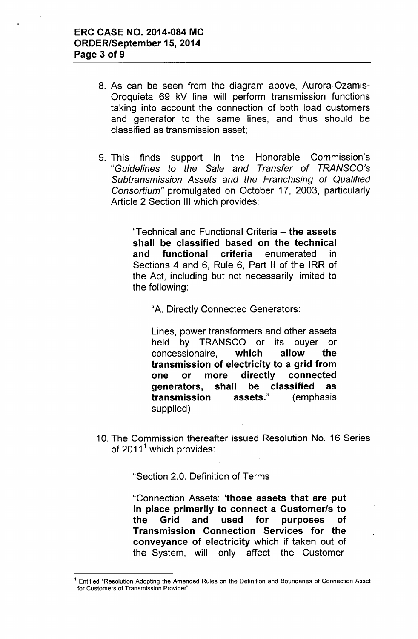- 8. As can be seen from the diagram above, Aurora-Ozamis-Oroquieta 69 kV line will perform transmission functions taking into account the connection of both load customers and generator to the same lines, and thus should be classified as transmission asset;
- 9. This finds support in the Honorable Commission's *"Guidelines to the Sale and Transfer* of *TRANSCO's Subtransmission Assets and the Franchising* of *Qualified Consortium"* promulgated on October 17, 2003, particularly Article 2 Section III which provides:

"Technical and Functional Criteria - the assets shall be classified based on the technical and functional criteria enumerated in Sections 4 and 6, Rule 6, Part II of the IRR of the Act, including but not necessarily limited to the following:

"A. Directly Connected Generators:

Lines, power transformers and other assets held by TRANSCO or its buyer or concessionaire, which allow the transmission of electricity to a grid from one or more directly connected generators, shall be classified as transmission assets." (emphasis supplied)

10. The Commission thereafter issued Resolution No. 16 Series of  $2011<sup>1</sup>$  which provides:

"Section 2.0: Definition of Terms

"Connection Assets: 'those assets that are put in place primarily to connect a Customerls to the Grid and used for purposes of Transmission Connection Services for the conveyance of electricity which if taken out of the System, will only affect the Customer

<sup>1</sup> Entitled "Resolution Adopting the Amended Rules on the Definition and Boundaries of Connection Asset for Customers of Transmission Provider"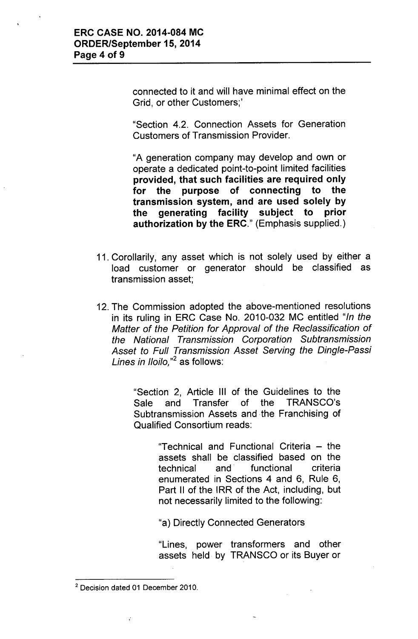connected to it and will have minimal effect on the Grid, or other Customers;'

"Section 4.2. Connection Assets for Generation Customers of Transmission Provider.

"A generation company may develop and own or operate a dedicated point-to-point limited facilities provided, that such facilities are required only for the purpose of connecting to the transmission system, and are used solely by the generating facility subject to prior authorization by the ERC." (Emphasis supplied.)

- 11. Corollarily, any asset which is not solely used by either a load customer or generator should be classified as transmission asset;
- 12. The Commission adopted the above-mentioned resolutions in its ruling in ERC Case No. 2010-032 MC entitled *"In the Matter* of *the Petition for Approval* of *the Reclassification* of *the National Transmission Corporation Subtransmission Asset to Full Transmission Asset Serving the Dingle-Passi Lines in IIoilo*."<sup>2</sup> as follows:

"Section 2, Article III of the Guidelines to the Sale and Transfer of the TRANSCO's Subtransmission Assets and the Franchising of Qualified Consortium reads:

> "Technical and Functional Criteria - the assets shall be classified based on the technical and. functional criteria enumerated in Sections 4 and 6, Rule 6, Part II of the IRR of the Act, including, but not necessarily limited to the following:

"a) Directly Connected Generators

"Lines, power transformers and other assets held by TRANSCO or its Buyer or

 $\ddot{\cdot}$ 

<sup>&</sup>lt;sup>2</sup> Decision dated 01 December 2010.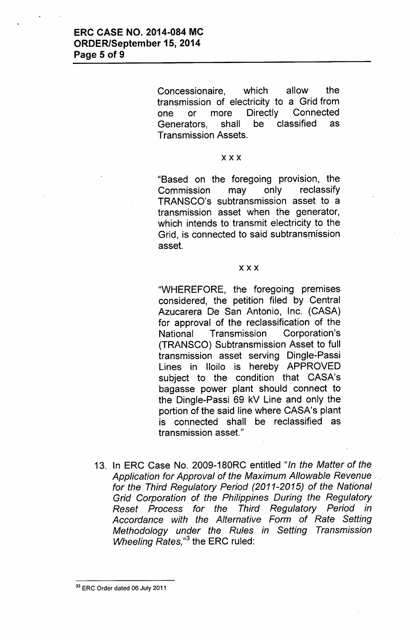Concessionaire, which allow the transmission of electricity to a Grid from one or more Directly Connected Generators, shall be classified as Transmission Assets.

#### xxx

"Based on the foregoing provision, the Commission may only reclassify TRANSCO's subtransmission asset to a transmission asset when the generator, which intends to transmit electricity to the Grid, is connected to said subtransmission asset.

#### xxx

"WHEREFORE, the foregoing premises considered, the petition filed by Central Azucarera De San Antonio, Inc. (CASA) for approval of the reclassification of the National Transmission Corporation's (TRANSCO) Subtransmission Asset to full transmission asset serving Dingle-Passi Lines in Iloilo is hereby APPROVED subject to the condition that CASA's bagasse power plant should connect to the Dingle-Passi 69 kV Line and only the portion of the said line where CASA's plant is connected shall be reclassified as transmission asset."

13. In ERC Case No. 2009-180RC entitled *"In the Matter* of *the Application for Approval* of *the Maximum Allowable Revenue for the Third Regulatory Period (2011-2015)* of *the National Grid Corporation* of *the Philippines During the Regulatory Reset Process for the Third Regulatory Period in Accordance with the Alternative Form* of *Rate Setting Methodology under the Rules in Setting Transmission Wheeling Rates*,<sup>3</sup> the ERC ruled:

<sup>&</sup>lt;sup>33</sup> ERC Order dated 06 July 2011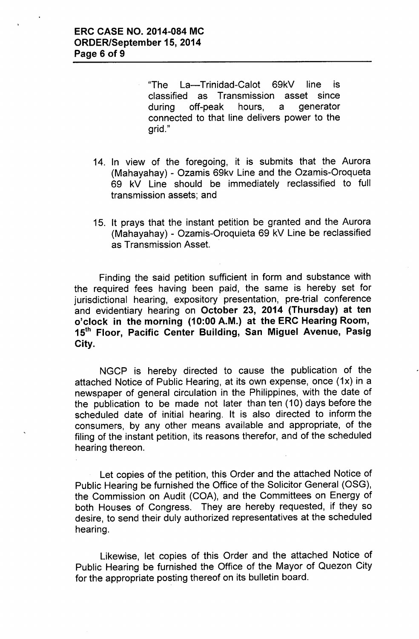'The La-Trinidad-Calot 69kV line is classified as Transmission asset since during off-peak hours, a generator connected to that line delivers power to the grid."

- 14. In view of the foregoing, it is submits that the Aurora (Mahayahay) - Ozamis 69kv Line and the Ozamis-Oroqueta 69 kV Line should be immediately reclassified to full transmission assets; and
- 15. It prays that the instant petition be granted and the Aurora (Mahayahay) - Ozamis-Oroquieta 69 kV Line be reclassified as Transmission Asset.

Finding the said petition sufficient in form and substance with the required fees having been paid, the same is hereby set for jurisdictional hearing, expository presentation, pre-trial conference and evidentiary hearing on October 23, 2014 (Thursday) at ten o'clock in the morning (10:00 A.M.) at the ERC Hearing Room, 15<sup>th</sup> Floor, Pacific Center Building, San Miguel Avenue, Pasig City.

NGCP is hereby directed to cause the publication of the attached Notice of Public Hearing, at its own expense, once *(1x)* in a newspaper of general circulation in the Philippines, with the date of the publication to be made not later than ten (10) days before the scheduled date of initial hearing. It is also directed to inform the consumers, by any other means available and appropriate, of the filing of the instant petition, its reasons therefor, and of the scheduled hearing thereon.

Let copies of the petition, this Order and the attached Notice of Public Hearing be furnished the Office of the Solicitor General (OSG), the Commission on Audit (COA), and the Committees on Energy of both Houses of Congress. They are hereby requested, if they so desire, to send their duly authorized representatives at the scheduled hearing.

Likewise, let copies of this Order and the attached Notice of Public Hearing be furnished the Office of the Mayor of Quezon City for the appropriate posting thereof on its bulletin board.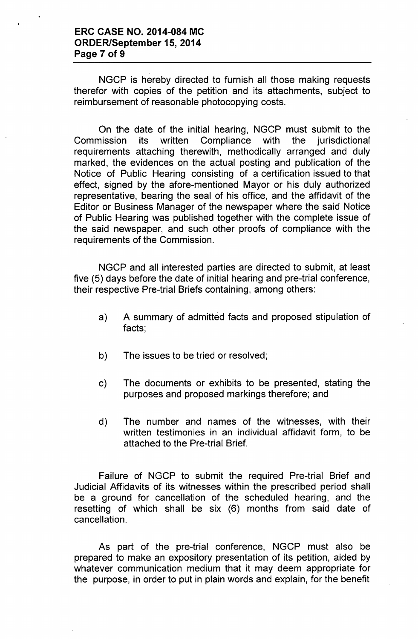NGCP is hereby directed to furnish all those making requests therefor with copies of the petition and its attachments, subject to reimbursement of reasonable photocopying costs.

On the date of the initial hearing, NGCP must submit to the Commission its written Compliance with the jurisdictional requirements attaching therewith, methodically arranged and duly marked, the evidences on the actual posting and publication of the Notice of Public Hearing consisting of a certification issued to that effect, signed by the afore-mentioned Mayor or his duly authorized representative, bearing the seal of his office, and the affidavit of the Editor or Business Manager of the newspaper where the said Notice of Public Hearing was published together with the complete issue of the said newspaper, and such other proofs of compliance with the requirements of the Commission.

NGCP and all interested parties are directed to submit, at least five (5) days before the date of initial hearing and pre-trial conference, their respective Pre-trial Briefs containing, among others:

- a) A summary of admitted facts and proposed stipulation of facts;
- b) The issues to be tried or resolved;
- c) The documents or exhibits to be presented, stating the purposes and proposed markings therefore; and
- d) The number and names of the witnesses, with their written testimonies in an individual affidavit form, to be attached to the Pre-trial Brief.

Failure of NGCP to submit the required Pre-trial Brief and Judicial Affidavits of its witnesses within the prescribed period shall be a ground for cancellation of the scheduled hearing, and the resetting of which shall be six (6) months from said date of cancellation.

As part of the pre-trial conference, NGCP must also be prepared to make an expository presentation of its petition, aided by whatever communication medium that it may deem appropriate for the purpose, in order to put in plain words and explain, for the benefit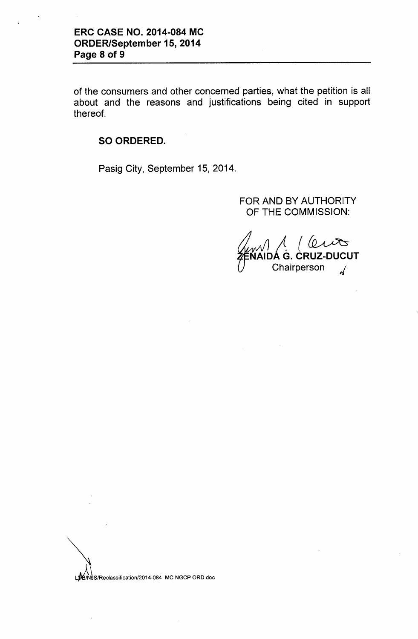of the consumers and other concerned parties, what the petition is all about and the reasons and justifications being cited in support thereof.

# SO ORDERED.

Pasig City, September 15, 2014.

# FOR AND BY AUTHORITY OF THE COMMISSION:

 $\mathsf L$  $\sqrt{\ }$ IAIDÁ G. CRUZ-DUCUT Chairperson *,f*

LYB/NUS/Reclassification/2014-084 MC NGCP ORD.doc